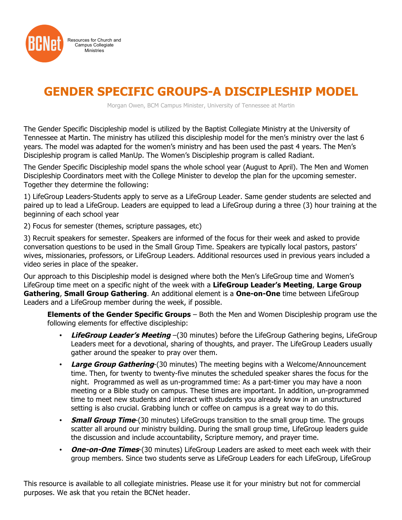

## **GENDER SPECIFIC GROUPS-A DISCIPLESHIP MODEL**

Morgan Owen, BCM Campus Minister, University of Tennessee at Martin

The Gender Specific Discipleship model is utilized by the Baptist Collegiate Ministry at the University of Tennessee at Martin. The ministry has utilized this discipleship model for the men's ministry over the last 6 years. The model was adapted for the women's ministry and has been used the past 4 years. The Men's Discipleship program is called ManUp. The Women's Discipleship program is called Radiant.

The Gender Specific Discipleship model spans the whole school year (August to April). The Men and Women Discipleship Coordinators meet with the College Minister to develop the plan for the upcoming semester. Together they determine the following:

1) LifeGroup Leaders-Students apply to serve as a LifeGroup Leader. Same gender students are selected and paired up to lead a LifeGroup. Leaders are equipped to lead a LifeGroup during a three (3) hour training at the beginning of each school year

2) Focus for semester (themes, scripture passages, etc)

3) Recruit speakers for semester. Speakers are informed of the focus for their week and asked to provide conversation questions to be used in the Small Group Time. Speakers are typically local pastors, pastors' wives, missionaries, professors, or LifeGroup Leaders. Additional resources used in previous years included a video series in place of the speaker.

Our approach to this Discipleship model is designed where both the Men's LifeGroup time and Women's LifeGroup time meet on a specific night of the week with a **LifeGroup Leader's Meeting**, **Large Group Gathering**, **Small Group Gathering**. An additional element is a **One-on-One** time between LifeGroup Leaders and a LifeGroup member during the week, if possible.

**Elements of the Gender Specific Groups** – Both the Men and Women Discipleship program use the following elements for effective discipleship:

- **LifeGroup Leader's Meeting** –(30 minutes) before the LifeGroup Gathering begins, LifeGroup Leaders meet for a devotional, sharing of thoughts, and prayer. The LifeGroup Leaders usually gather around the speaker to pray over them.
- **Large Group Gathering**-(30 minutes) The meeting begins with a Welcome/Announcement time. Then, for twenty to twenty-five minutes the scheduled speaker shares the focus for the night. Programmed as well as un-programmed time: As a part-timer you may have a noon meeting or a Bible study on campus. These times are important. In addition, un-programmed time to meet new students and interact with students you already know in an unstructured setting is also crucial. Grabbing lunch or coffee on campus is a great way to do this.
- **Small Group Time**-(30 minutes) LifeGroups transition to the small group time. The groups scatter all around our ministry building. During the small group time, LifeGroup leaders guide the discussion and include accountability, Scripture memory, and prayer time.
- **One-on-One Times**-(30 minutes) LifeGroup Leaders are asked to meet each week with their group members. Since two students serve as LifeGroup Leaders for each LifeGroup, LifeGroup

This resource is available to all collegiate ministries. Please use it for your ministry but not for commercial purposes. We ask that you retain the BCNet header.